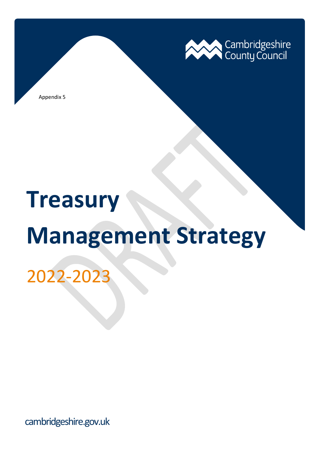

Appendix 5

# **Treasury**

# **Management Strategy**

# 2022-2023

cambridgeshire.gov.uk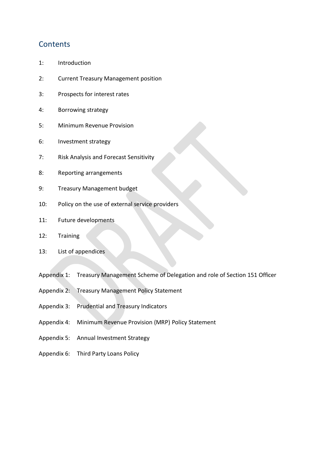### **Contents**

- 1: Introduction
- 2: Current Treasury Management position
- 3: Prospects for interest rates
- 4: Borrowing strategy
- 5: Minimum Revenue Provision
- 6: Investment strategy
- 7: Risk Analysis and Forecast Sensitivity
- 8: Reporting arrangements
- 9: Treasury Management budget
- 10: Policy on the use of external service providers
- 11: Future developments
- 12: Training
- 13: List of appendices
- Appendix 1: Treasury Management Scheme of Delegation and role of Section 151 Officer
- Appendix 2: Treasury Management Policy Statement
- Appendix 3: Prudential and Treasury Indicators
- Appendix 4: Minimum Revenue Provision (MRP) Policy Statement
- Appendix 5: Annual Investment Strategy
- Appendix 6: Third Party Loans Policy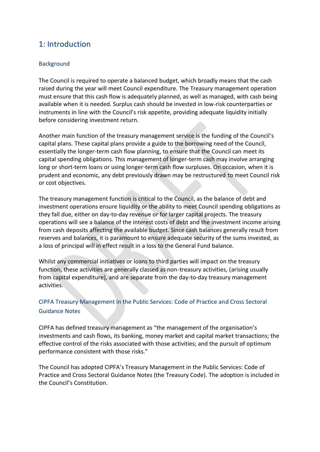# 1: Introduction

#### **Background**

The Council is required to operate a balanced budget, which broadly means that the cash raised during the year will meet Council expenditure. The Treasury management operation must ensure that this cash flow is adequately planned, as well as managed, with cash being available when it is needed. Surplus cash should be invested in low-risk counterparties or instruments in line with the Council's risk appetite, providing adequate liquidity initially before considering investment return.

Another main function of the treasury management service is the funding of the Council's capital plans. These capital plans provide a guide to the borrowing need of the Council, essentially the longer-term cash flow planning, to ensure that the Council can meet its capital spending obligations. This management of longer-term cash may involve arranging long or short-term loans or using longer-term cash flow surpluses. On occasion, when it is prudent and economic, any debt previously drawn may be restructured to meet Council risk or cost objectives.

The treasury management function is critical to the Council, as the balance of debt and investment operations ensure liquidity or the ability to meet Council spending obligations as they fall due, either on day-to-day revenue or for larger capital projects. The treasury operations will see a balance of the interest costs of debt and the investment income arising from cash deposits affecting the available budget. Since cash balances generally result from reserves and balances, it is paramount to ensure adequate security of the sums invested, as a loss of principal will in effect result in a loss to the General Fund balance.

Whilst any commercial initiatives or loans to third parties will impact on the treasury function, these activities are generally classed as non-treasury activities, (arising usually from capital expenditure), and are separate from the day-to-day treasury management activities.

#### CIPFA Treasury Management in the Public Services: Code of Practice and Cross Sectoral Guidance Notes

CIPFA has defined treasury management as "the management of the organisation's investments and cash flows, its banking, money market and capital market transactions; the effective control of the risks associated with those activities; and the pursuit of optimum performance consistent with those risks."

The Council has adopted CIPFA's Treasury Management in the Public Services: Code of Practice and Cross Sectoral Guidance Notes (the Treasury Code). The adoption is included in the Council's Constitution.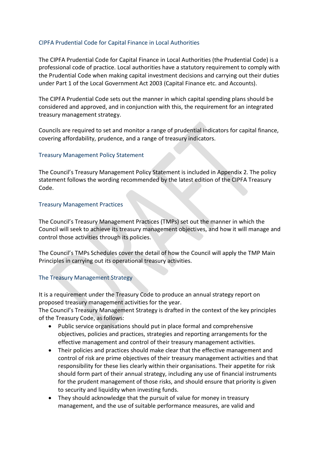#### CIPFA Prudential Code for Capital Finance in Local Authorities

The CIPFA Prudential Code for Capital Finance in Local Authorities (the Prudential Code) is a professional code of practice. Local authorities have a statutory requirement to comply with the Prudential Code when making capital investment decisions and carrying out their duties under Part 1 of the Local Government Act 2003 (Capital Finance etc. and Accounts).

The CIPFA Prudential Code sets out the manner in which capital spending plans should be considered and approved, and in conjunction with this, the requirement for an integrated treasury management strategy.

Councils are required to set and monitor a range of prudential indicators for capital finance, covering affordability, prudence, and a range of treasury indicators.

#### Treasury Management Policy Statement

The Council's Treasury Management Policy Statement is included in Appendix 2. The policy statement follows the wording recommended by the latest edition of the CIPFA Treasury Code.

#### Treasury Management Practices

The Council's Treasury Management Practices (TMPs) set out the manner in which the Council will seek to achieve its treasury management objectives, and how it will manage and control those activities through its policies.

The Council's TMPs Schedules cover the detail of how the Council will apply the TMP Main Principles in carrying out its operational treasury activities.

#### The Treasury Management Strategy

It is a requirement under the Treasury Code to produce an annual strategy report on proposed treasury management activities for the year.

The Council's Treasury Management Strategy is drafted in the context of the key principles of the Treasury Code, as follows:

- Public service organisations should put in place formal and comprehensive objectives, policies and practices, strategies and reporting arrangements for the effective management and control of their treasury management activities.
- Their policies and practices should make clear that the effective management and control of risk are prime objectives of their treasury management activities and that responsibility for these lies clearly within their organisations. Their appetite for risk should form part of their annual strategy, including any use of financial instruments for the prudent management of those risks, and should ensure that priority is given to security and liquidity when investing funds.
- They should acknowledge that the pursuit of value for money in treasury management, and the use of suitable performance measures, are valid and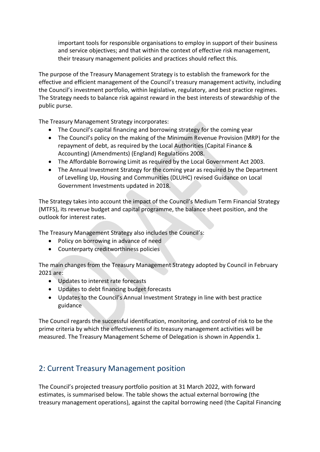important tools for responsible organisations to employ in support of their business and service objectives; and that within the context of effective risk management, their treasury management policies and practices should reflect this.

The purpose of the Treasury Management Strategy is to establish the framework for the effective and efficient management of the Council's treasury management activity, including the Council's investment portfolio, within legislative, regulatory, and best practice regimes. The Strategy needs to balance risk against reward in the best interests of stewardship of the public purse.

The Treasury Management Strategy incorporates:

- The Council's capital financing and borrowing strategy for the coming year
- The Council's policy on the making of the Minimum Revenue Provision (MRP) for the repayment of debt, as required by the Local Authorities (Capital Finance & Accounting) (Amendments) (England) Regulations 2008.
- The Affordable Borrowing Limit as required by the Local Government Act 2003.
- The Annual Investment Strategy for the coming year as required by the Department of Levelling Up, Housing and Communities (DLUHC) revised Guidance on Local Government Investments updated in 2018.

The Strategy takes into account the impact of the Council's Medium Term Financial Strategy (MTFS), its revenue budget and capital programme, the balance sheet position, and the outlook for interest rates.

The Treasury Management Strategy also includes the Council's:

- Policy on borrowing in advance of need
- Counterparty creditworthiness policies

The main changes from the Treasury Management Strategy adopted by Council in February 2021 are:

- Updates to interest rate forecasts
- Updates to debt financing budget forecasts
- Updates to the Council's Annual Investment Strategy in line with best practice guidance

The Council regards the successful identification, monitoring, and control of risk to be the prime criteria by which the effectiveness of its treasury management activities will be measured. The Treasury Management Scheme of Delegation is shown in Appendix 1.

# 2: Current Treasury Management position

The Council's projected treasury portfolio position at 31 March 2022, with forward estimates, is summarised below. The table shows the actual external borrowing (the treasury management operations), against the capital borrowing need (the Capital Financing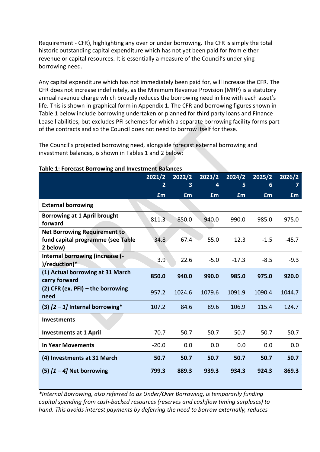Requirement - CFR), highlighting any over or under borrowing. The CFR is simply the total historic outstanding capital expenditure which has not yet been paid for from either revenue or capital resources. It is essentially a measure of the Council's underlying borrowing need.

Any capital expenditure which has not immediately been paid for, will increase the CFR. The CFR does not increase indefinitely, as the Minimum Revenue Provision (MRP) is a statutory annual revenue charge which broadly reduces the borrowing need in line with each asset's life. This is shown in graphical form in Appendix 1. The CFR and borrowing figures shown in Table 1 below include borrowing undertaken or planned for third party loans and Finance Lease liabilities, but excludes PFI schemes for which a separate borrowing facility forms part of the contracts and so the Council does not need to borrow itself for these.

The Council's projected borrowing need, alongside forecast external borrowing and investment balances, is shown in Tables 1 and 2 below:

|                                                                                      | 2021/2         | 2022/2    | 2023/2    | 2024/2    | 2025/2    | 2026/2  |
|--------------------------------------------------------------------------------------|----------------|-----------|-----------|-----------|-----------|---------|
|                                                                                      | $\overline{2}$ | 3         | 4         | 5.        | 6         | 7       |
|                                                                                      | <b>£m</b>      | <b>£m</b> | <b>£m</b> | <b>£m</b> | <b>£m</b> | £m      |
| <b>External borrowing</b>                                                            |                |           |           |           |           |         |
| Borrowing at 1 April brought<br>forward                                              | 811.3          | 850.0     | 940.0     | 990.0     | 985.0     | 975.0   |
| <b>Net Borrowing Requirement to</b><br>fund capital programme (see Table<br>2 below) | 34.8           | 67.4      | 55.0      | 12.3      | $-1.5$    | $-45.7$ |
| Internal borrowing (increase (-<br>)/reduction)*                                     | 3.9            | 22.6      | $-5.0$    | $-17.3$   | $-8.5$    | $-9.3$  |
| (1) Actual borrowing at 31 March<br>carry forward                                    | 850.0          | 940.0     | 990.0     | 985.0     | 975.0     | 920.0   |
| (2) CFR (ex. PFI) – the borrowing<br>need                                            | 957.2          | 1024.6    | 1079.6    | 1091.9    | 1090.4    | 1044.7  |
| (3) $[2 - 1]$ Internal borrowing*                                                    | 107.2          | 84.6      | 89.6      | 106.9     | 115.4     | 124.7   |
| <b>Investments</b>                                                                   |                |           |           |           |           |         |
| <b>Investments at 1 April</b>                                                        | 70.7           | 50.7      | 50.7      | 50.7      | 50.7      | 50.7    |
| <b>In Year Movements</b>                                                             | $-20.0$        | 0.0       | 0.0       | 0.0       | 0.0       | 0.0     |
| (4) Investments at 31 March                                                          | 50.7           | 50.7      | 50.7      | 50.7      | 50.7      | 50.7    |
| (5) $[1 - 4]$ Net borrowing                                                          | 799.3          | 889.3     | 939.3     | 934.3     | 924.3     | 869.3   |
|                                                                                      |                |           |           |           |           |         |

#### **Table 1: Forecast Borrowing and Investment Balances**

*\*Internal Borrowing, also referred to as Under/Over Borrowing, is temporarily funding capital spending from cash-backed resources (reserves and cashflow timing surpluses) to hand. This avoids interest payments by deferring the need to borrow externally, reduces*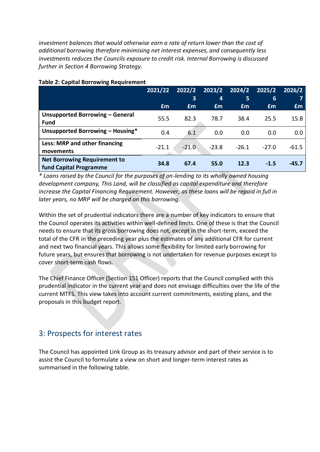*investment balances that would otherwise earn a rate of return lower than the cost of additional borrowing therefore minimising net interest expenses, and consequently less investments reduces the Councils exposure to credit risk. Internal Borrowing is discussed further in Section 4 Borrowing Strategy.*

|                                                               | 2021/22 | 2022/2<br>3 | 2023/2<br>4 | 2024/2<br>5 | 2025/2<br>6 | 2026/2  |
|---------------------------------------------------------------|---------|-------------|-------------|-------------|-------------|---------|
|                                                               | £m      | £m          | £m          | £m          | £m          | Em      |
| Unsupported Borrowing - General<br><b>Fund</b>                | 55.5    | 82.3        | 78.7        | 38.4        | 25.5        | 15.8    |
| Unsupported Borrowing - Housing*                              | 0.4     | 6.1         | 0.0         | 0.0         | 0.0         | 0.0     |
| Less: MRP and other financing<br>movements                    | $-21.1$ | $-21.0$     | $-23.8$     | $-26.1$     | $-27.0$     | $-61.5$ |
| <b>Net Borrowing Requirement to</b><br>fund Capital Programme | 34.8    | 67.4        | 55.0        | 12.3        | $-1.5$      | $-45.7$ |

#### **Table 2: Capital Borrowing Requirement**

*\* Loans raised by the Council for the purposes of on-lending to its wholly owned housing development company, This Land, will be classified as capital expenditure and therefore increase the Capital Financing Requirement. However, as these loans will be repaid in full in later years, no MRP will be charged on this borrowing.*

Within the set of prudential indicators there are a number of key indicators to ensure that the Council operates its activities within well-defined limits. One of these is that the Council needs to ensure that its gross borrowing does not, except in the short-term, exceed the total of the CFR in the preceding year plus the estimates of any additional CFR for current and next two financial years. This allows some flexibility for limited early borrowing for future years, but ensures that borrowing is not undertaken for revenue purposes except to cover short-term cash flows.

The Chief Finance Officer (Section 151 Officer) reports that the Council complied with this prudential indicator in the current year and does not envisage difficulties over the life of the current MTFS. This view takes into account current commitments, existing plans, and the proposals in this budget report.

# 3: Prospects for interest rates

The Council has appointed Link Group as its treasury advisor and part of their service is to assist the Council to formulate a view on short and longer-term interest rates as summarised in the following table.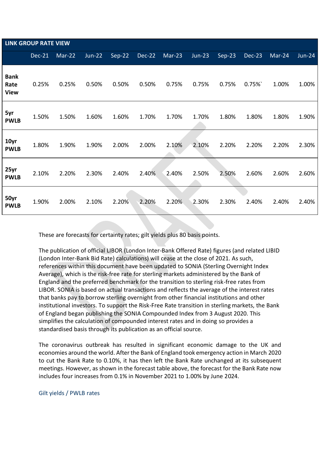|                                    | <b>LINK GROUP RATE VIEW</b> |          |               |          |        |        |          |          |        |                            |               |
|------------------------------------|-----------------------------|----------|---------------|----------|--------|--------|----------|----------|--------|----------------------------|---------------|
|                                    | Dec-21                      | $Mar-22$ | <b>Jun-22</b> | $Sep-22$ | Dec-22 | Mar-23 | $Jun-23$ | $Sep-23$ | Dec-23 | $\overline{\text{Mar-24}}$ | <b>Jun-24</b> |
| <b>Bank</b><br>Rate<br><b>View</b> | 0.25%                       | 0.25%    | 0.50%         | 0.50%    | 0.50%  | 0.75%  | 0.75%    | 0.75%    | 0.75%  | 1.00%                      | 1.00%         |
| 5yr<br><b>PWLB</b>                 | 1.50%                       | 1.50%    | 1.60%         | 1.60%    | 1.70%  | 1.70%  | 1.70%    | 1.80%    | 1.80%  | 1.80%                      | 1.90%         |
| 10yr<br><b>PWLB</b>                | 1.80%                       | 1.90%    | 1.90%         | 2.00%    | 2.00%  | 2.10%  | 2.10%    | 2.20%    | 2.20%  | 2.20%                      | 2.30%         |
| 25yr<br><b>PWLB</b>                | 2.10%                       | 2.20%    | 2.30%         | 2.40%    | 2.40%  | 2.40%  | 2.50%    | 2.50%    | 2.60%  | 2.60%                      | 2.60%         |
| 50yr<br><b>PWLB</b>                | 1.90%                       | 2.00%    | 2.10%         | 2.20%    | 2.20%  | 2.20%  | 2.30%    | 2.30%    | 2.40%  | 2.40%                      | 2.40%         |

These are forecasts for certainty rates; gilt yields plus 80 basis points.

The publication of official LIBOR (London Inter-Bank Offered Rate) figures (and related LIBID (London Inter-Bank Bid Rate) calculations) will cease at the close of 2021. As such, references within this document have been updated to SONIA (Sterling Overnight Index Average), which is the risk-free rate for sterling markets administered by the Bank of England and the preferred benchmark for the transition to sterling risk-free rates from LIBOR. SONIA is based on actual transactions and reflects the average of the interest rates that banks pay to borrow sterling overnight from other financial institutions and other institutional investors. To support the Risk-Free Rate transition in sterling markets, the Bank of England began publishing the SONIA Compounded Index from 3 August 2020. This simplifies the calculation of compounded interest rates and in doing so provides a standardised basis through its publication as an official source.

The coronavirus outbreak has resulted in significant economic damage to the UK and economies around the world. After the Bank of England took emergency action in March 2020 to cut the Bank Rate to 0.10%, it has then left the Bank Rate unchanged at its subsequent meetings. However, as shown in the forecast table above, the forecast for the Bank Rate now includes four increases from 0.1% in November 2021 to 1.00% by June 2024.

#### Gilt yields / PWLB rates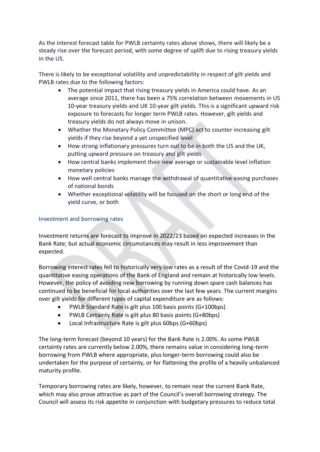As the interest forecast table for PWLB certainty rates above shows, there will likely be a steady rise over the forecast period, with some degree of uplift due to rising treasury yields in the US.

There is likely to be exceptional volatility and unpredictability in respect of gilt yields and PWLB rates due to the following factors:

- The potential impact that rising treasury yields in America could have. As an average since 2011, there has been a 75% correlation between movements in US 10-year treasury yields and UK 10-year gilt yields. This is a significant upward risk exposure to forecasts for longer term PWLB rates. However, gilt yields and treasury yields do not always move in unison.
- Whether the Monetary Policy Committee (MPC) act to counter increasing gilt yields if they rise beyond a yet unspecified level
- How strong inflationary pressures turn out to be in both the US and the UK, putting upward pressure on treasury and gilt yields
- How central banks implement their new average or sustainable level inflation monetary policies
- How well central banks manage the withdrawal of quantitative easing purchases of national bonds
- Whether exceptional volatility will be focused on the short or long end of the yield curve, or both

#### Investment and borrowing rates

Investment returns are forecast to improve in 2022/23 based on expected increases in the Bank Rate; but actual economic circumstances may result in less improvement than expected.

Borrowing interest rates fell to historically very low rates as a result of the Covid-19 and the quantitative easing operations of the Bank of England and remain at historically low levels. However, the policy of avoiding new borrowing by running down spare cash balances has continued to be beneficial for local authorities over the last few years. The current margins over gilt yields for different types of capital expenditure are as follows:

- PWLB Standard Rate is gilt plus 100 basis points (G+100bps)
- PWLB Certainty Rate is gilt plus 80 basis points (G+80bps)
- Local Infrastructure Rate is gilt plus 60bps (G+60bps)

The long-term forecast (beyond 10 years) for the Bank Rate is 2.00%. As some PWLB certainty rates are currently below 2.00%, there remains value in considering long-term borrowing from PWLB where appropriate, plus longer-term borrowing could also be undertaken for the purpose of certainty, or for flattening the profile of a heavily unbalanced maturity profile.

Temporary borrowing rates are likely, however, to remain near the current Bank Rate, which may also prove attractive as part of the Council's overall borrowing strategy. The Council will assess its risk appetite in conjunction with budgetary pressures to reduce total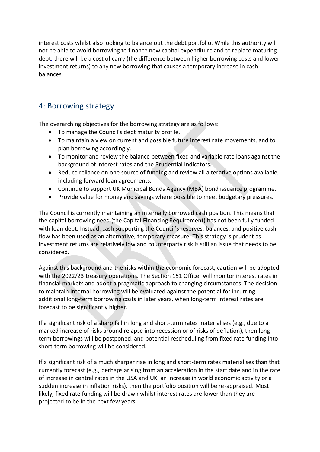interest costs whilst also looking to balance out the debt portfolio. While this authority will not be able to avoid borrowing to finance new capital expenditure and to replace maturing debt*,* there will be a cost of carry (the difference between higher borrowing costs and lower investment returns) to any new borrowing that causes a temporary increase in cash balances.

# 4: Borrowing strategy

The overarching objectives for the borrowing strategy are as follows:

- To manage the Council's debt maturity profile.
- To maintain a view on current and possible future interest rate movements, and to plan borrowing accordingly.
- To monitor and review the balance between fixed and variable rate loans against the background of interest rates and the Prudential Indicators.
- Reduce reliance on one source of funding and review all alterative options available, including forward loan agreements.
- Continue to support UK Municipal Bonds Agency (MBA) bond issuance programme.
- Provide value for money and savings where possible to meet budgetary pressures.

The Council is currently maintaining an internally borrowed cash position. This means that the capital borrowing need (the Capital Financing Requirement) has not been fully funded with loan debt. Instead, cash supporting the Council's reserves, balances, and positive cash flow has been used as an alternative, temporary measure. This strategy is prudent as investment returns are relatively low and counterparty risk is still an issue that needs to be considered.

Against this background and the risks within the economic forecast, caution will be adopted with the 2022/23 treasury operations. The Section 151 Officer will monitor interest rates in financial markets and adopt a pragmatic approach to changing circumstances. The decision to maintain internal borrowing will be evaluated against the potential for incurring additional long-term borrowing costs in later years, when long-term interest rates are forecast to be significantly higher.

If a significant risk of a sharp fall in long and short-term rates materialises (e.g., due to a marked increase of risks around relapse into recession or of risks of deflation), then longterm borrowings will be postponed, and potential rescheduling from fixed rate funding into short-term borrowing will be considered.

If a significant risk of a much sharper rise in long and short-term rates materialises than that currently forecast (e.g., perhaps arising from an acceleration in the start date and in the rate of increase in central rates in the USA and UK, an increase in world economic activity or a sudden increase in inflation risks), then the portfolio position will be re-appraised. Most likely, fixed rate funding will be drawn whilst interest rates are lower than they are projected to be in the next few years.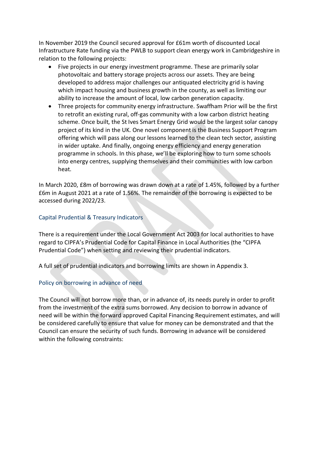In November 2019 the Council secured approval for £61m worth of discounted Local Infrastructure Rate funding via the PWLB to support clean energy work in Cambridgeshire in relation to the following projects:

- Five projects in our energy investment programme. These are primarily solar photovoltaic and battery storage projects across our assets. They are being developed to address major challenges our antiquated electricity grid is having which impact housing and business growth in the county, as well as limiting our ability to increase the amount of local, low carbon generation capacity.
- Three projects for community energy infrastructure. Swaffham Prior will be the first to retrofit an existing rural, off-gas community with a low carbon district heating scheme. Once built, the St Ives Smart Energy Grid would be the largest solar canopy project of its kind in the UK. One novel component is the Business Support Program offering which will pass along our lessons learned to the clean tech sector, assisting in wider uptake. And finally, ongoing energy efficiency and energy generation programme in schools. In this phase, we'll be exploring how to turn some schools into energy centres, supplying themselves and their communities with low carbon heat.

In March 2020, £8m of borrowing was drawn down at a rate of 1.45%, followed by a further £6m in August 2021 at a rate of 1.56%. The remainder of the borrowing is expected to be accessed during 2022/23.

#### Capital Prudential & Treasury Indicators

There is a requirement under the Local Government Act 2003 for local authorities to have regard to CIPFA's Prudential Code for Capital Finance in Local Authorities (the "CIPFA Prudential Code") when setting and reviewing their prudential indicators.

A full set of prudential indicators and borrowing limits are shown in Appendix 3.

#### Policy on borrowing in advance of need

The Council will not borrow more than, or in advance of, its needs purely in order to profit from the investment of the extra sums borrowed. Any decision to borrow in advance of need will be within the forward approved Capital Financing Requirement estimates, and will be considered carefully to ensure that value for money can be demonstrated and that the Council can ensure the security of such funds. Borrowing in advance will be considered within the following constraints: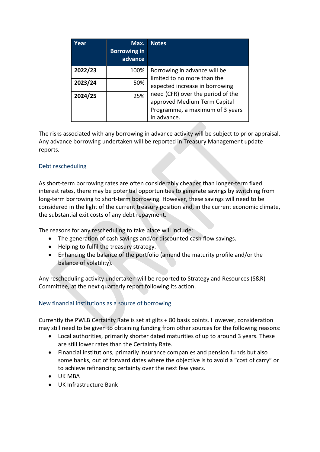| Year    | Max.<br><b>Borrowing in</b><br>advance | <b>Notes</b>                                                                                                        |
|---------|----------------------------------------|---------------------------------------------------------------------------------------------------------------------|
| 2022/23 | 100%                                   | Borrowing in advance will be<br>limited to no more than the                                                         |
| 2023/24 | 50%                                    | expected increase in borrowing                                                                                      |
| 2024/25 | 25%                                    | need (CFR) over the period of the<br>approved Medium Term Capital<br>Programme, a maximum of 3 years<br>in advance. |

The risks associated with any borrowing in advance activity will be subject to prior appraisal. Any advance borrowing undertaken will be reported in Treasury Management update reports.

#### Debt rescheduling

As short-term borrowing rates are often considerably cheaper than longer-term fixed interest rates, there may be potential opportunities to generate savings by switching from long-term borrowing to short-term borrowing. However, these savings will need to be considered in the light of the current treasury position and, in the current economic climate, the substantial exit costs of any debt repayment.

The reasons for any rescheduling to take place will include:

- The generation of cash savings and/or discounted cash flow savings.
- Helping to fulfil the treasury strategy.
- Enhancing the balance of the portfolio (amend the maturity profile and/or the balance of volatility).

Any rescheduling activity undertaken will be reported to Strategy and Resources (S&R) Committee, at the next quarterly report following its action.

#### New financial institutions as a source of borrowing

Currently the PWLB Certainty Rate is set at gilts + 80 basis points. However, consideration may still need to be given to obtaining funding from other sources for the following reasons:

- Local authorities, primarily shorter dated maturities of up to around 3 years. These are still lower rates than the Certainty Rate.
- Financial institutions, primarily insurance companies and pension funds but also some banks, out of forward dates where the objective is to avoid a "cost of carry" or to achieve refinancing certainty over the next few years.
- UK MBA
- UK Infrastructure Bank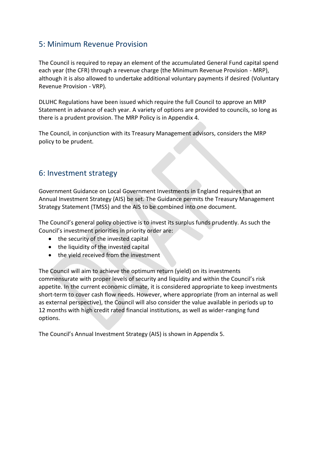# 5: Minimum Revenue Provision

The Council is required to repay an element of the accumulated General Fund capital spend each year (the CFR) through a revenue charge (the Minimum Revenue Provision - MRP), although it is also allowed to undertake additional voluntary payments if desired (Voluntary Revenue Provision - VRP).

DLUHC Regulations have been issued which require the full Council to approve an MRP Statement in advance of each year. A variety of options are provided to councils, so long as there is a prudent provision. The MRP Policy is in Appendix 4.

The Council, in conjunction with its Treasury Management advisors, considers the MRP policy to be prudent.

# 6: Investment strategy

Government Guidance on Local Government Investments in England requires that an Annual Investment Strategy (AIS) be set. The Guidance permits the Treasury Management Strategy Statement (TMSS) and the AIS to be combined into one document.

The Council's general policy objective is to invest its surplus funds prudently. As such the Council's investment priorities in priority order are:

- the security of the invested capital
- the liquidity of the invested capital
- the yield received from the investment

The Council will aim to achieve the optimum return (yield) on its investments commensurate with proper levels of security and liquidity and within the Council's risk appetite. In the current economic climate, it is considered appropriate to keep investments short-term to cover cash flow needs. However, where appropriate (from an internal as well as external perspective), the Council will also consider the value available in periods up to 12 months with high credit rated financial institutions, as well as wider-ranging fund options.

The Council's Annual Investment Strategy (AIS) is shown in Appendix 5.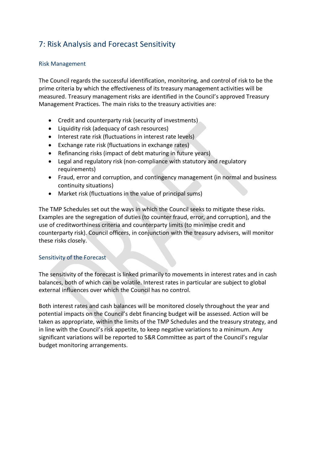# 7: Risk Analysis and Forecast Sensitivity

#### Risk Management

The Council regards the successful identification, monitoring, and control of risk to be the prime criteria by which the effectiveness of its treasury management activities will be measured. Treasury management risks are identified in the Council's approved Treasury Management Practices. The main risks to the treasury activities are:

- Credit and counterparty risk (security of investments)
- Liquidity risk (adequacy of cash resources)
- Interest rate risk (fluctuations in interest rate levels)
- Exchange rate risk (fluctuations in exchange rates)
- Refinancing risks (impact of debt maturing in future years)
- Legal and regulatory risk (non-compliance with statutory and regulatory requirements)
- Fraud, error and corruption, and contingency management (in normal and business continuity situations)
- Market risk (fluctuations in the value of principal sums)

The TMP Schedules set out the ways in which the Council seeks to mitigate these risks. Examples are the segregation of duties (to counter fraud, error, and corruption), and the use of creditworthiness criteria and counterparty limits (to minimise credit and counterparty risk). Council officers, in conjunction with the treasury advisers, will monitor these risks closely.

#### Sensitivity of the Forecast

The sensitivity of the forecast is linked primarily to movements in interest rates and in cash balances, both of which can be volatile. Interest rates in particular are subject to global external influences over which the Council has no control.

Both interest rates and cash balances will be monitored closely throughout the year and potential impacts on the Council's debt financing budget will be assessed. Action will be taken as appropriate, within the limits of the TMP Schedules and the treasury strategy, and in line with the Council's risk appetite, to keep negative variations to a minimum. Any significant variations will be reported to S&R Committee as part of the Council's regular budget monitoring arrangements.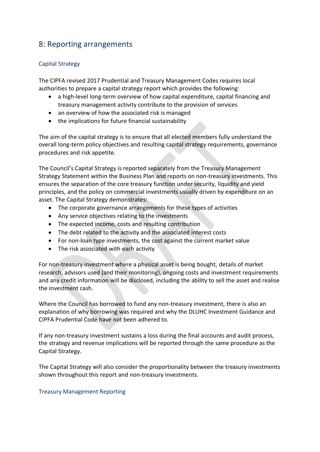# 8: Reporting arrangements

#### Capital Strategy

The CIPFA revised 2017 Prudential and Treasury Management Codes requires local authorities to prepare a capital strategy report which provides the following:

- a high-level long-term overview of how capital expenditure, capital financing and treasury management activity contribute to the provision of services
- an overview of how the associated risk is managed
- the implications for future financial sustainability

The aim of the capital strategy is to ensure that all elected members fully understand the overall long-term policy objectives and resulting capital strategy requirements, governance procedures and risk appetite.

The Council's Capital Strategy is reported separately from the Treasury Management Strategy Statement within the Business Plan and reports on non-treasury investments. This ensures the separation of the core treasury function under security, liquidity and yield principles, and the policy on commercial investments usually driven by expenditure on an asset. The Capital Strategy demonstrates:

- The corporate governance arrangements for these types of activities
- Any service objectives relating to the investments
- The expected income, costs and resulting contribution
- The debt related to the activity and the associated interest costs
- For non-loan type investments, the cost against the current market value
- The risk associated with each activity

For non-treasury investment where a physical asset is being bought, details of market research, advisors used (and their monitoring), ongoing costs and investment requirements and any credit information will be disclosed, including the ability to sell the asset and realise the investment cash.

Where the Council has borrowed to fund any non-treasury investment, there is also an explanation of why borrowing was required and why the DLUHC Investment Guidance and CIPFA Prudential Code have not been adhered to.

If any non-treasury investment sustains a loss during the final accounts and audit process, the strategy and revenue implications will be reported through the same procedure as the Capital Strategy.

The Capital Strategy will also consider the proportionality between the treasury investments shown throughout this report and non-treasury investments.

#### Treasury Management Reporting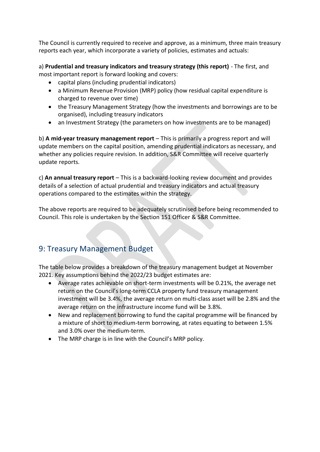The Council is currently required to receive and approve, as a minimum, three main treasury reports each year, which incorporate a variety of policies, estimates and actuals:

a) **Prudential and treasury indicators and treasury strategy (this report)** - The first, and most important report is forward looking and covers:

- capital plans (including prudential indicators)
- a Minimum Revenue Provision (MRP) policy (how residual capital expenditure is charged to revenue over time)
- the Treasury Management Strategy (how the investments and borrowings are to be organised), including treasury indicators
- an Investment Strategy (the parameters on how investments are to be managed)

b) **A mid-year treasury management report** – This is primarily a progress report and will update members on the capital position, amending prudential indicators as necessary, and whether any policies require revision. In addition, S&R Committee will receive quarterly update reports.

c) **An annual treasury report** – This is a backward-looking review document and provides details of a selection of actual prudential and treasury indicators and actual treasury operations compared to the estimates within the strategy.

The above reports are required to be adequately scrutinised before being recommended to Council. This role is undertaken by the Section 151 Officer & S&R Committee.

# 9: Treasury Management Budget

The table below provides a breakdown of the treasury management budget at November 2021. Key assumptions behind the 2022/23 budget estimates are:

- Average rates achievable on short-term investments will be 0.21%, the average net return on the Council's long-term CCLA property fund treasury management investment will be 3.4%, the average return on multi-class asset will be 2.8% and the average return on the infrastructure income fund will be 3.8%.
- New and replacement borrowing to fund the capital programme will be financed by a mixture of short to medium-term borrowing, at rates equating to between 1.5% and 3.0% over the medium-term.
- The MRP charge is in line with the Council's MRP policy.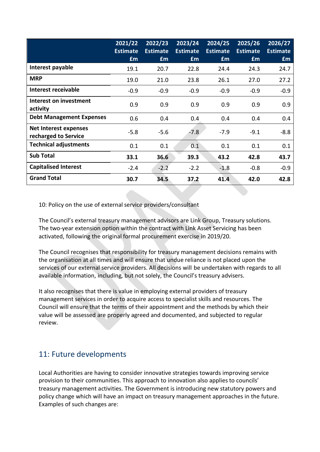|                                                      | 2021/22<br><b>Estimate</b><br>£m | 2022/23<br><b>Estimate</b><br>£m | 2023/24<br><b>Estimate</b><br>£m | 2024/25<br><b>Estimate</b><br>£m | 2025/26<br><b>Estimate</b><br>£m | 2026/27<br><b>Estimate</b><br><b>f</b> m |
|------------------------------------------------------|----------------------------------|----------------------------------|----------------------------------|----------------------------------|----------------------------------|------------------------------------------|
| Interest payable                                     | 19.1                             | 20.7                             | 22.8                             | 24.4                             | 24.3                             | 24.7                                     |
| <b>MRP</b>                                           | 19.0                             | 21.0                             | 23.8                             | 26.1                             | 27.0                             | 27.2                                     |
| <b>Interest receivable</b>                           | $-0.9$                           | $-0.9$                           | $-0.9$                           | $-0.9$                           | $-0.9$                           | $-0.9$                                   |
| Interest on investment<br>activity                   | 0.9                              | 0.9                              | 0.9                              | 0.9                              | 0.9                              | 0.9                                      |
| <b>Debt Management Expenses</b>                      | 0.6                              | 0.4                              | 0.4                              | 0.4                              | 0.4                              | 0.4                                      |
| <b>Net Interest expenses</b><br>recharged to Service | $-5.8$                           | $-5.6$                           | $-7.8$                           | $-7.9$                           | $-9.1$                           | $-8.8$                                   |
| <b>Technical adjustments</b>                         | 0.1                              | 0.1                              | 0.1                              | 0.1                              | 0.1                              | 0.1                                      |
| <b>Sub Total</b>                                     | 33.1                             | 36.6                             | 39.3                             | 43.2                             | 42.8                             | 43.7                                     |
| <b>Capitalised Interest</b>                          | $-2.4$                           | $-2.2$                           | $-2.2$                           | $-1.8$                           | $-0.8$                           | $-0.9$                                   |
| <b>Grand Total</b>                                   | 30.7                             | 34.5                             | 37.2                             | 41.4                             | 42.0                             | 42.8                                     |

10: Policy on the use of external service providers/consultant

The Council's external treasury management advisors are Link Group, Treasury solutions. The two-year extension option within the contract with Link Asset Servicing has been activated, following the original formal procurement exercise in 2019/20.

The Council recognises that responsibility for treasury management decisions remains with the organisation at all times and will ensure that undue reliance is not placed upon the services of our external service providers. All decisions will be undertaken with regards to all available information, including, but not solely, the Council's treasury advisers.

It also recognises that there is value in employing external providers of treasury management services in order to acquire access to specialist skills and resources. The Council will ensure that the terms of their appointment and the methods by which their value will be assessed are properly agreed and documented, and subjected to regular review.

# 11: Future developments

Local Authorities are having to consider innovative strategies towards improving service provision to their communities. This approach to innovation also applies to councils' treasury management activities. The Government is introducing new statutory powers and policy change which will have an impact on treasury management approaches in the future. Examples of such changes are: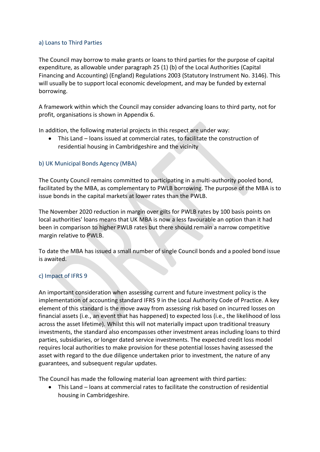#### a) Loans to Third Parties

The Council may borrow to make grants or loans to third parties for the purpose of capital expenditure, as allowable under paragraph 25 (1) (b) of the Local Authorities (Capital Financing and Accounting) (England) Regulations 2003 (Statutory Instrument No. 3146). This will usually be to support local economic development, and may be funded by external borrowing.

A framework within which the Council may consider advancing loans to third party, not for profit, organisations is shown in Appendix 6.

In addition, the following material projects in this respect are under way:

• This Land – loans issued at commercial rates, to facilitate the construction of residential housing in Cambridgeshire and the vicinity

#### b) UK Municipal Bonds Agency (MBA)

The County Council remains committed to participating in a multi-authority pooled bond, facilitated by the MBA, as complementary to PWLB borrowing. The purpose of the MBA is to issue bonds in the capital markets at lower rates than the PWLB.

The November 2020 reduction in margin over gilts for PWLB rates by 100 basis points on local authorities' loans means that UK MBA is now a less favourable an option than it had been in comparison to higher PWLB rates but there should remain a narrow competitive margin relative to PWLB.

To date the MBA has issued a small number of single Council bonds and a pooled bond issue is awaited.

#### c) Impact of IFRS 9

An important consideration when assessing current and future investment policy is the implementation of accounting standard IFRS 9 in the Local Authority Code of Practice. A key element of this standard is the move away from assessing risk based on incurred losses on financial assets (i.e., an event that has happened) to expected loss (i.e., the likelihood of loss across the asset lifetime). Whilst this will not materially impact upon traditional treasury investments, the standard also encompasses other investment areas including loans to third parties, subsidiaries, or longer dated service investments. The expected credit loss model requires local authorities to make provision for these potential losses having assessed the asset with regard to the due diligence undertaken prior to investment, the nature of any guarantees, and subsequent regular updates.

The Council has made the following material loan agreement with third parties:

• This Land – loans at commercial rates to facilitate the construction of residential housing in Cambridgeshire.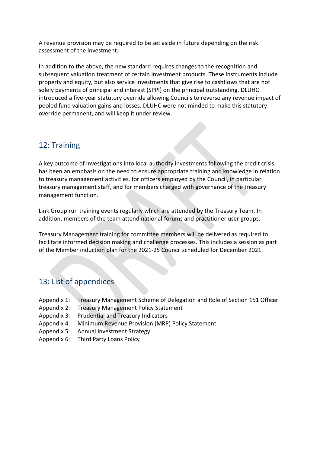A revenue provision may be required to be set aside in future depending on the risk assessment of the investment.

In addition to the above, the new standard requires changes to the recognition and subsequent valuation treatment of certain investment products. These instruments include property and equity, but also service investments that give rise to cashflows that are not solely payments of principal and interest (SPPI) on the principal outstanding. DLUHC introduced a five-year statutory override allowing Councils to reverse any revenue impact of pooled fund valuation gains and losses. DLUHC were not minded to make this statutory override permanent, and will keep it under review.

# 12: Training

A key outcome of investigations into local authority investments following the credit crisis has been an emphasis on the need to ensure appropriate training and knowledge in relation to treasury management activities, for officers employed by the Council, in particular treasury management staff, and for members charged with governance of the treasury management function.

Link Group run training events regularly which are attended by the Treasury Team. In addition, members of the team attend national forums and practitioner user groups.

Treasury Management training for committee members will be delivered as required to facilitate informed decision making and challenge processes. This includes a session as part of the Member induction plan for the 2021-25 Council scheduled for December 2021.

# 13: List of appendices

- Appendix 1: Treasury Management Scheme of Delegation and Role of Section 151 Officer
- Appendix 2: Treasury Management Policy Statement
- Appendix 3: Prudential and Treasury Indicators
- Appendix 4: Minimum Revenue Provision (MRP) Policy Statement
- Appendix 5: Annual Investment Strategy
- Appendix 6: Third Party Loans Policy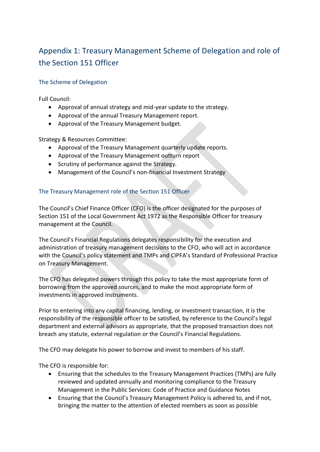# Appendix 1: Treasury Management Scheme of Delegation and role of the Section 151 Officer

#### The Scheme of Delegation

Full Council:

- Approval of annual strategy and mid-year update to the strategy.
- Approval of the annual Treasury Management report.
- Approval of the Treasury Management budget.

Strategy & Resources Committee:

- Approval of the Treasury Management quarterly update reports.
- Approval of the Treasury Management outturn report
- Scrutiny of performance against the Strategy.
- Management of the Council's non-financial Investment Strategy

#### The Treasury Management role of the Section 151 Officer

The Council's Chief Finance Officer (CFO) is the officer designated for the purposes of Section 151 of the Local Government Act 1972 as the Responsible Officer for treasury management at the Council.

The Council's Financial Regulations delegates responsibility for the execution and administration of treasury management decisions to the CFO, who will act in accordance with the Council's policy statement and TMPs and CIPFA's Standard of Professional Practice on Treasury Management.

The CFO has delegated powers through this policy to take the most appropriate form of borrowing from the approved sources, and to make the most appropriate form of investments in approved instruments.

Prior to entering into any capital financing, lending, or investment transaction, it is the responsibility of the responsible officer to be satisfied, by reference to the Council's legal department and external advisors as appropriate, that the proposed transaction does not breach any statute, external regulation or the Council's Financial Regulations.

The CFO may delegate his power to borrow and invest to members of his staff.

The CFO is responsible for:

- Ensuring that the schedules to the Treasury Management Practices (TMPs) are fully reviewed and updated annually and monitoring compliance to the Treasury Management in the Public Services: Code of Practice and Guidance Notes
- Ensuring that the Council's Treasury Management Policy is adhered to, and if not, bringing the matter to the attention of elected members as soon as possible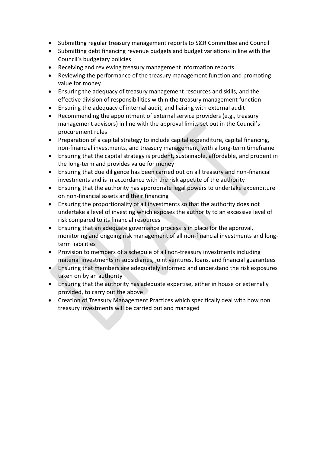- Submitting regular treasury management reports to S&R Committee and Council
- Submitting debt financing revenue budgets and budget variations in line with the Council's budgetary policies
- Receiving and reviewing treasury management information reports
- Reviewing the performance of the treasury management function and promoting value for money
- Ensuring the adequacy of treasury management resources and skills, and the effective division of responsibilities within the treasury management function
- Ensuring the adequacy of internal audit, and liaising with external audit
- Recommending the appointment of external service providers (e.g., treasury management advisors) in line with the approval limits set out in the Council's procurement rules
- Preparation of a capital strategy to include capital expenditure, capital financing, non-financial investments, and treasury management, with a long-term timeframe
- Ensuring that the capital strategy is prudent, sustainable, affordable, and prudent in the long-term and provides value for money
- Ensuring that due diligence has been carried out on all treasury and non-financial investments and is in accordance with the risk appetite of the authority
- Ensuring that the authority has appropriate legal powers to undertake expenditure on non-financial assets and their financing
- Ensuring the proportionality of all investments so that the authority does not undertake a level of investing which exposes the authority to an excessive level of risk compared to its financial resources
- Ensuring that an adequate governance process is in place for the approval, monitoring and ongoing risk management of all non-financial investments and longterm liabilities
- Provision to members of a schedule of all non-treasury investments including material investments in subsidiaries, joint ventures, loans, and financial guarantees
- Ensuring that members are adequately informed and understand the risk exposures taken on by an authority
- Ensuring that the authority has adequate expertise, either in house or externally provided, to carry out the above
- Creation of Treasury Management Practices which specifically deal with how non treasury investments will be carried out and managed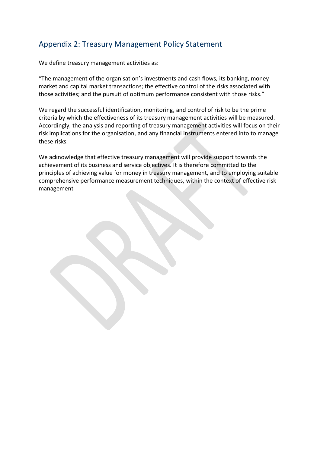# Appendix 2: Treasury Management Policy Statement

We define treasury management activities as:

"The management of the organisation's investments and cash flows, its banking, money market and capital market transactions; the effective control of the risks associated with those activities; and the pursuit of optimum performance consistent with those risks."

We regard the successful identification, monitoring, and control of risk to be the prime criteria by which the effectiveness of its treasury management activities will be measured. Accordingly, the analysis and reporting of treasury management activities will focus on their risk implications for the organisation, and any financial instruments entered into to manage these risks.

We acknowledge that effective treasury management will provide support towards the achievement of its business and service objectives. It is therefore committed to the principles of achieving value for money in treasury management, and to employing suitable comprehensive performance measurement techniques, within the context of effective risk management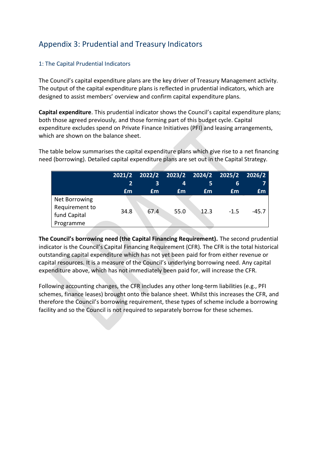# Appendix 3: Prudential and Treasury Indicators

#### 1: The Capital Prudential Indicators

The Council's capital expenditure plans are the key driver of Treasury Management activity. The output of the capital expenditure plans is reflected in prudential indicators, which are designed to assist members' overview and confirm capital expenditure plans.

**Capital expenditure**. This prudential indicator shows the Council's capital expenditure plans; both those agreed previously, and those forming part of this budget cycle. Capital expenditure excludes spend on Private Finance Initiatives (PFI) and leasing arrangements, which are shown on the balance sheet.

The table below summarises the capital expenditure plans which give rise to a net financing need (borrowing). Detailed capital expenditure plans are set out in the Capital Strategy.

|                                                              | 2021/2<br>2 | $2022/2$ 2023/2 2024/2 2025/2 2026/2<br>3 | 4    | 5    | 6      |         |
|--------------------------------------------------------------|-------------|-------------------------------------------|------|------|--------|---------|
|                                                              | £m          | £m                                        | £m   | £m   | £m     | £m      |
| Net Borrowing<br>Requirement to<br>fund Capital<br>Programme | 34.8        | 67.4                                      | 55.0 | 12.3 | $-1.5$ | $-45.7$ |

**The Council's borrowing need (the Capital Financing Requirement).** The second prudential indicator is the Council's Capital Financing Requirement (CFR). The CFR is the total historical outstanding capital expenditure which has not yet been paid for from either revenue or capital resources. It is a measure of the Council's underlying borrowing need. Any capital expenditure above, which has not immediately been paid for, will increase the CFR.

Following accounting changes, the CFR includes any other long-term liabilities (e.g., PFI schemes, finance leases) brought onto the balance sheet. Whilst this increases the CFR, and therefore the Council's borrowing requirement, these types of scheme include a borrowing facility and so the Council is not required to separately borrow for these schemes.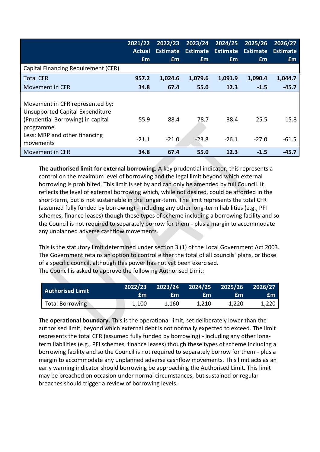|                                                                                                                                                                    | 2021/22<br>Actual | 2022/23<br><b>Estimate</b> | 2023/24<br><b>Estimate</b> | 2024/25<br>Estimate | 2025/26<br><b>Estimate</b> | 2026/27<br><b>Estimate</b> |
|--------------------------------------------------------------------------------------------------------------------------------------------------------------------|-------------------|----------------------------|----------------------------|---------------------|----------------------------|----------------------------|
|                                                                                                                                                                    | £m                | £m                         | £m                         | £m                  | Em                         | Em                         |
| Capital Financing Requirement (CFR)                                                                                                                                |                   |                            |                            |                     |                            |                            |
| <b>Total CFR</b>                                                                                                                                                   | 957.2             | 1,024.6                    | 1,079.6                    | 1,091.9             | 1,090.4                    | 1,044.7                    |
| Movement in CFR                                                                                                                                                    | 34.8              | 67.4                       | 55.0                       | 12.3                | $-1.5$                     | $-45.7$                    |
| Movement in CFR represented by:<br>Unsupported Capital Expenditure<br>(Prudential Borrowing) in capital<br>programme<br>Less: MRP and other financing<br>movements | 55.9<br>$-21.1$   | 88.4<br>$-21.0$            | 78.7<br>$-23.8$            | 38.4<br>$-26.1$     | 25.5<br>$-27.0$            | 15.8<br>$-61.5$            |
| Movement in CFR                                                                                                                                                    | 34.8              | 67.4                       | 55.0                       | 12.3                | $-1.5$                     | $-45.7$                    |

**The authorised limit for external borrowing.** A key prudential indicator, this represents a control on the maximum level of borrowing and the legal limit beyond which external borrowing is prohibited. This limit is set by and can only be amended by full Council. It reflects the level of external borrowing which, while not desired, could be afforded in the short-term, but is not sustainable in the longer-term. The limit represents the total CFR (assumed fully funded by borrowing) - including any other long-term liabilities (e.g., PFI schemes, finance leases) though these types of scheme including a borrowing facility and so the Council is not required to separately borrow for them - plus a margin to accommodate any unplanned adverse cashflow movements.

This is the statutory limit determined under section 3 (1) of the Local Government Act 2003. The Government retains an option to control either the total of all councils' plans, or those of a specific council, although this power has not yet been exercised. The Council is asked to approve the following Authorised Limit:

| $\mid$ Authorised Limit | 2022/23<br>£m | 2023/24 2024/25 2025/26<br>fm | £m    | fm    | 2026/27<br>£m |
|-------------------------|---------------|-------------------------------|-------|-------|---------------|
| <b>Total Borrowing</b>  | 1,100         | 1.160                         | 1.210 | 1.220 | 1,220         |

**The operational boundary.** This is the operational limit, set deliberately lower than the authorised limit, beyond which external debt is not normally expected to exceed. The limit represents the total CFR (assumed fully funded by borrowing) - including any other longterm liabilities (e.g., PFI schemes, finance leases) though these types of scheme including a borrowing facility and so the Council is not required to separately borrow for them - plus a margin to accommodate any unplanned adverse cashflow movements. This limit acts as an early warning indicator should borrowing be approaching the Authorised Limit. This limit may be breached on occasion under normal circumstances, but sustained or regular breaches should trigger a review of borrowing levels.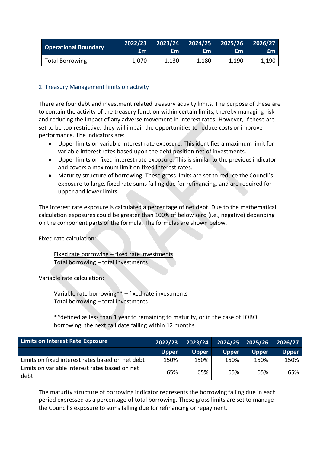| Operational Boundary   | 2022/23<br>£m | £m    | $2023/24$ $2024/25$ $2025/26$<br>£m | £m    | $\sqrt{2026/27}$<br>£m. |
|------------------------|---------------|-------|-------------------------------------|-------|-------------------------|
| <b>Total Borrowing</b> | 1.070         | 1.130 | 1.180                               | 1,190 | 1,190                   |

#### 2: Treasury Management limits on activity

There are four debt and investment related treasury activity limits. The purpose of these are to contain the activity of the treasury function within certain limits, thereby managing risk and reducing the impact of any adverse movement in interest rates. However, if these are set to be too restrictive, they will impair the opportunities to reduce costs or improve performance. The indicators are:

- Upper limits on variable interest rate exposure. This identifies a maximum limit for variable interest rates based upon the debt position net of investments.
- Upper limits on fixed interest rate exposure. This is similar to the previous indicator and covers a maximum limit on fixed interest rates.
- Maturity structure of borrowing. These gross limits are set to reduce the Council's exposure to large, fixed rate sums falling due for refinancing, and are required for upper and lower limits.

The interest rate exposure is calculated a percentage of net debt. Due to the mathematical calculation exposures could be greater than 100% of below zero (i.e., negative) depending on the component parts of the formula. The formulas are shown below.

Fixed rate calculation:

Fixed rate borrowing – fixed rate investments Total borrowing – total investments

Variable rate calculation:

Variable rate borrowing\*\* – fixed rate investments Total borrowing – total investments

\*\*defined as less than 1 year to remaining to maturity, or in the case of LOBO borrowing, the next call date falling within 12 months.

| <b>Limits on Interest Rate Exposure</b>                | 2022/23      | 2023/24      |              | $\sqrt{2024/25}$ $\sqrt{2025/26}$ | 2026/27      |
|--------------------------------------------------------|--------------|--------------|--------------|-----------------------------------|--------------|
|                                                        | <b>Upper</b> | <b>Upper</b> | <b>Upper</b> | <b>Upper</b>                      | <b>Upper</b> |
| Limits on fixed interest rates based on net debt       | 150%         | 150%         | 150%         | 150%                              | 150%         |
| Limits on variable interest rates based on net<br>debt | 65%          | 65%          | 65%          | 65%                               | 65%          |

The maturity structure of borrowing indicator represents the borrowing falling due in each period expressed as a percentage of total borrowing. These gross limits are set to manage the Council's exposure to sums falling due for refinancing or repayment.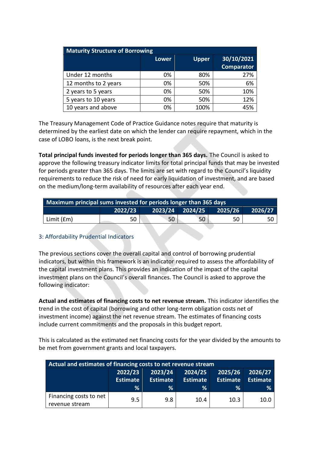| <b>Maturity Structure of Borrowing</b> |       |              |                   |  |  |  |  |
|----------------------------------------|-------|--------------|-------------------|--|--|--|--|
|                                        | Lower | <b>Upper</b> |                   |  |  |  |  |
|                                        |       |              | <b>Comparator</b> |  |  |  |  |
| Under 12 months                        | 0%    | 80%          | 27%               |  |  |  |  |
| 12 months to 2 years                   | 0%    | 50%          | 6%                |  |  |  |  |
| 2 years to 5 years                     | 0%    | 50%          | 10%               |  |  |  |  |
| 5 years to 10 years                    | 0%    | 50%          | 12%               |  |  |  |  |
| 10 years and above                     | 0%    | 100%         | 45%               |  |  |  |  |

The Treasury Management Code of Practice Guidance notes require that maturity is determined by the earliest date on which the lender can require repayment, which in the case of LOBO loans, is the next break point.

**Total principal funds invested for periods longer than 365 days.** The Council is asked to approve the following treasury indicator limits for total principal funds that may be invested for periods greater than 365 days. The limits are set with regard to the Council's liquidity requirements to reduce the risk of need for early liquidation of investment, and are based on the medium/long-term availability of resources after each year end.

| Maximum principal sums invested for periods longer than 365 days |    |    |    |    |      |  |
|------------------------------------------------------------------|----|----|----|----|------|--|
| $2023/24$ 2024/25<br>2022/23<br>2025/26<br>2026/27               |    |    |    |    |      |  |
| Limit (£m)                                                       | 50 | 50 | 50 | 50 | 50 I |  |

#### 3: Affordability Prudential Indicators

The previous sections cover the overall capital and control of borrowing prudential indicators, but within this framework is an indicator required to assess the affordability of the capital investment plans. This provides an indication of the impact of the capital investment plans on the Council's overall finances. The Council is asked to approve the following indicator:

**Actual and estimates of financing costs to net revenue stream.** This indicator identifies the trend in the cost of capital (borrowing and other long-term obligation costs net of investment income) against the net revenue stream. The estimates of financing costs include current commitments and the proposals in this budget report.

This is calculated as the estimated net financing costs for the year divided by the amounts to be met from government grants and local taxpayers.

| Actual and estimates of financing costs to net revenue stream |                            |                            |                            |                            |                            |
|---------------------------------------------------------------|----------------------------|----------------------------|----------------------------|----------------------------|----------------------------|
|                                                               | 2022/23<br><b>Estimate</b> | 2023/24<br><b>Estimate</b> | 2024/25<br><b>Estimate</b> | 2025/26<br><b>Estimate</b> | 2026/27<br><b>Estimate</b> |
|                                                               | ℅                          | ℅                          | ℅                          | ℅                          | ℅                          |
| Financing costs to net<br>revenue stream                      | 9.5                        | 9.8                        | 10.4                       | 10.3                       | 10.0                       |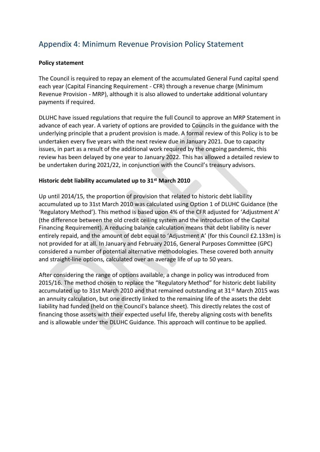# Appendix 4: Minimum Revenue Provision Policy Statement

#### **Policy statement**

The Council is required to repay an element of the accumulated General Fund capital spend each year (Capital Financing Requirement - CFR) through a revenue charge (Minimum Revenue Provision - MRP), although it is also allowed to undertake additional voluntary payments if required.

DLUHC have issued regulations that require the full Council to approve an MRP Statement in advance of each year. A variety of options are provided to Councils in the guidance with the underlying principle that a prudent provision is made. A formal review of this Policy is to be undertaken every five years with the next review due in January 2021. Due to capacity issues, in part as a result of the additional work required by the ongoing pandemic, this review has been delayed by one year to January 2022. This has allowed a detailed review to be undertaken during 2021/22, in conjunction with the Council's treasury advisors.

#### **Historic debt liability accumulated up to 31st March 2010**

Up until 2014/15, the proportion of provision that related to historic debt liability accumulated up to 31st March 2010 was calculated using Option 1 of DLUHC Guidance (the 'Regulatory Method'). This method is based upon 4% of the CFR adjusted for 'Adjustment A' (the difference between the old credit ceiling system and the introduction of the Capital Financing Requirement). A reducing balance calculation means that debt liability is never entirely repaid, and the amount of debt equal to 'Adjustment A' (for this Council £2.133m) is not provided for at all. In January and February 2016, General Purposes Committee (GPC) considered a number of potential alternative methodologies. These covered both annuity and straight-line options, calculated over an average life of up to 50 years.

After considering the range of options available, a change in policy was introduced from 2015/16. The method chosen to replace the "Regulatory Method" for historic debt liability accumulated up to 31st March 2010 and that remained outstanding at  $31<sup>st</sup>$  March 2015 was an annuity calculation, but one directly linked to the remaining life of the assets the debt liability had funded (held on the Council's balance sheet). This directly relates the cost of financing those assets with their expected useful life, thereby aligning costs with benefits and is allowable under the DLUHC Guidance. This approach will continue to be applied.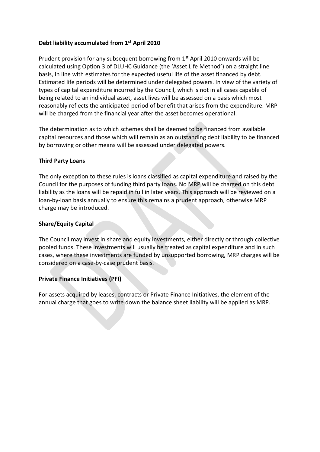#### **Debt liability accumulated from 1st April 2010**

Prudent provision for any subsequent borrowing from  $1<sup>st</sup>$  April 2010 onwards will be calculated using Option 3 of DLUHC Guidance (the 'Asset Life Method') on a straight line basis, in line with estimates for the expected useful life of the asset financed by debt. Estimated life periods will be determined under delegated powers. In view of the variety of types of capital expenditure incurred by the Council, which is not in all cases capable of being related to an individual asset, asset lives will be assessed on a basis which most reasonably reflects the anticipated period of benefit that arises from the expenditure. MRP will be charged from the financial year after the asset becomes operational.

The determination as to which schemes shall be deemed to be financed from available capital resources and those which will remain as an outstanding debt liability to be financed by borrowing or other means will be assessed under delegated powers.

#### **Third Party Loans**

The only exception to these rules is loans classified as capital expenditure and raised by the Council for the purposes of funding third party loans. No MRP will be charged on this debt liability as the loans will be repaid in full in later years. This approach will be reviewed on a loan-by-loan basis annually to ensure this remains a prudent approach, otherwise MRP charge may be introduced.

#### **Share/Equity Capital**

The Council may invest in share and equity investments, either directly or through collective pooled funds. These investments will usually be treated as capital expenditure and in such cases, where these investments are funded by unsupported borrowing, MRP charges will be considered on a case-by-case prudent basis.

#### **Private Finance Initiatives (PFI)**

For assets acquired by leases, contracts or Private Finance Initiatives, the element of the annual charge that goes to write down the balance sheet liability will be applied as MRP.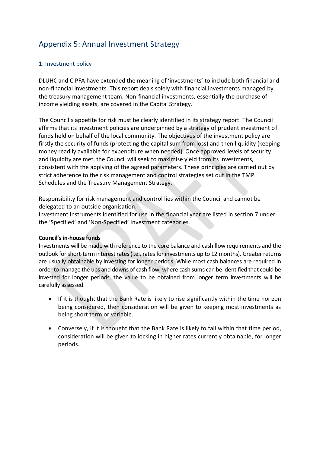# Appendix 5: Annual Investment Strategy

#### 1: Investment policy

DLUHC and CIPFA have extended the meaning of 'investments' to include both financial and non-financial investments. This report deals solely with financial investments managed by the treasury management team. Non-financial investments, essentially the purchase of income yielding assets, are covered in the Capital Strategy.

The Council's appetite for risk must be clearly identified in its strategy report. The Council affirms that its investment policies are underpinned by a strategy of prudent investment of funds held on behalf of the local community. The objectives of the investment policy are firstly the security of funds (protecting the capital sum from loss) and then liquidity (keeping money readily available for expenditure when needed). Once approved levels of security and liquidity are met, the Council will seek to maximise yield from its investments, consistent with the applying of the agreed parameters. These principles are carried out by strict adherence to the risk management and control strategies set out in the TMP Schedules and the Treasury Management Strategy.

Responsibility for risk management and control lies within the Council and cannot be delegated to an outside organisation.

Investment instruments identified for use in the financial year are listed in section 7 under the 'Specified' and 'Non-Specified' Investment categories.

#### **Council's in-house funds**

Investments will be made with reference to the core balance and cash flow requirements and the outlook for short-term interest rates (i.e., rates for investments up to 12 months). Greater returns are usually obtainable by investing for longer periods. While most cash balances are required in order to manage the ups and downs of cash flow, where cash sums can be identified that could be invested for longer periods, the value to be obtained from longer term investments will be carefully assessed.

- If it is thought that the Bank Rate is likely to rise significantly within the time horizon being considered, then consideration will be given to keeping most investments as being short term or variable.
- Conversely, if it is thought that the Bank Rate is likely to fall within that time period, consideration will be given to locking in higher rates currently obtainable, for longer periods.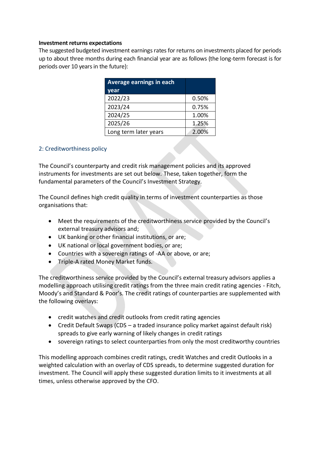#### **Investment returns expectations**

The suggested budgeted investment earnings rates for returns on investments placed for periods up to about three months during each financial year are as follows (the long-term forecast is for periods over 10 years in the future):

| Average earnings in each |       |
|--------------------------|-------|
| year                     |       |
| 2022/23                  | 0.50% |
| 2023/24                  | 0.75% |
| 2024/25                  | 1.00% |
| 2025/26                  | 1.25% |
| Long term later years    | 2.00% |

#### 2: Creditworthiness policy

The Council's counterparty and credit risk management policies and its approved instruments for investments are set out below. These, taken together, form the fundamental parameters of the Council's Investment Strategy.

The Council defines high credit quality in terms of investment counterparties as those organisations that:

- Meet the requirements of the creditworthiness service provided by the Council's external treasury advisors and;
- UK banking or other financial institutions, or are;
- UK national or local government bodies, or are;
- Countries with a sovereign ratings of -AA or above, or are;
- Triple-A rated Money Market funds.

The creditworthiness service provided by the Council's external treasury advisors applies a modelling approach utilising credit ratings from the three main credit rating agencies - Fitch, Moody's and Standard & Poor's. The credit ratings of counterparties are supplemented with the following overlays:

- credit watches and credit outlooks from credit rating agencies
- Credit Default Swaps (CDS a traded insurance policy market against default risk) spreads to give early warning of likely changes in credit ratings
- sovereign ratings to select counterparties from only the most creditworthy countries

This modelling approach combines credit ratings, credit Watches and credit Outlooks in a weighted calculation with an overlay of CDS spreads, to determine suggested duration for investment. The Council will apply these suggested duration limits to it investments at all times, unless otherwise approved by the CFO.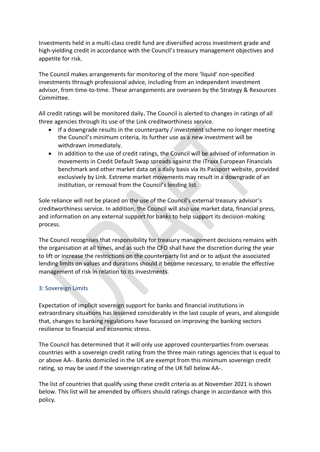Investments held in a multi-class credit fund are diversified across investment grade and high-yielding credit in accordance with the Council's treasury management objectives and appetite for risk.

The Council makes arrangements for monitoring of the more 'liquid' non-specified investments through professional advice, including from an independent investment advisor, from time-to-time. These arrangements are overseen by the Strategy & Resources Committee.

All credit ratings will be monitored daily**.** The Council is alerted to changes in ratings of all three agencies through its use of the Link creditworthiness service.

- If a downgrade results in the counterparty / investment scheme no longer meeting the Council's minimum criteria, its further use as a new investment will be withdrawn immediately.
- In addition to the use of credit ratings, the Council will be advised of information in movements in Credit Default Swap spreads against the iTraxx European Financials benchmark and other market data on a daily basis via its Passport website, provided exclusively by Link. Extreme market movements may result in a downgrade of an institution, or removal from the Council's lending list.

Sole reliance will not be placed on the use of the Council's external treasury advisor's creditworthiness service. In addition, the Council will also use market data, financial press, and information on any external support for banks to help support its decision-making process.

The Council recognises that responsibility for treasury management decisions remains with the organisation at all times, and as such the CFO shall have the discretion during the year to lift or increase the restrictions on the counterparty list and or to adjust the associated lending limits on values and durations should it become necessary, to enable the effective management of risk in relation to its investments.

#### 3: Sovereign Limits

Expectation of implicit sovereign support for banks and financial institutions in extraordinary situations has lessened considerably in the last couple of years, and alongside that, changes to banking regulations have focussed on improving the banking sectors resilience to financial and economic stress.

The Council has determined that it will only use approved counterparties from overseas countries with a sovereign credit rating from the three main ratings agencies that is equal to or above AA-. Banks domiciled in the UK are exempt from this minimum sovereign credit rating, so may be used if the sovereign rating of the UK fall below AA-.

The list of countries that qualify using these credit criteria as at November 2021 is shown below. This list will be amended by officers should ratings change in accordance with this policy.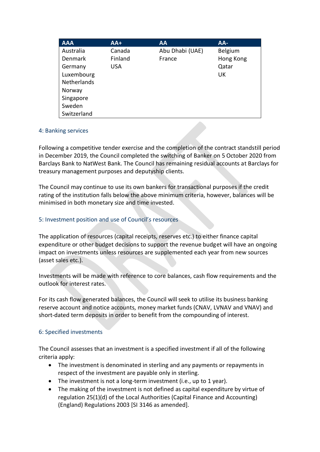| <b>AAA</b>         | $AA+$      | AA              | AA-       |
|--------------------|------------|-----------------|-----------|
| Australia          | Canada     | Abu Dhabi (UAE) | Belgium   |
| <b>Denmark</b>     | Finland    | France          | Hong Kong |
| Germany            | <b>USA</b> |                 | Qatar     |
| Luxembourg         |            |                 | UK        |
| <b>Netherlands</b> |            |                 |           |
| Norway             |            |                 |           |
| Singapore          |            |                 |           |
| Sweden             |            |                 |           |
| Switzerland        |            |                 |           |

#### 4: Banking services

Following a competitive tender exercise and the completion of the contract standstill period in December 2019, the Council completed the switching of Banker on 5 October 2020 from Barclays Bank to NatWest Bank. The Council has remaining residual accounts at Barclays for treasury management purposes and deputyship clients.

The Council may continue to use its own bankers for transactional purposes if the credit rating of the institution falls below the above minimum criteria, however, balances will be minimised in both monetary size and time invested.

#### 5: Investment position and use of Council's resources

The application of resources (capital receipts, reserves etc.) to either finance capital expenditure or other budget decisions to support the revenue budget will have an ongoing impact on investments unless resources are supplemented each year from new sources (asset sales etc.).

Investments will be made with reference to core balances, cash flow requirements and the outlook for interest rates.

For its cash flow generated balances, the Council will seek to utilise its business banking reserve account and notice accounts, money market funds (CNAV, LVNAV and VNAV) and short-dated term deposits in order to benefit from the compounding of interest.

#### 6: Specified investments

The Council assesses that an investment is a specified investment if all of the following criteria apply:

- The investment is denominated in sterling and any payments or repayments in respect of the investment are payable only in sterling.
- The investment is not a long-term investment (i.e., up to 1 year).
- The making of the investment is not defined as capital expenditure by virtue of regulation 25(1)(d) of the Local Authorities (Capital Finance and Accounting) (England) Regulations 2003 [SI 3146 as amended].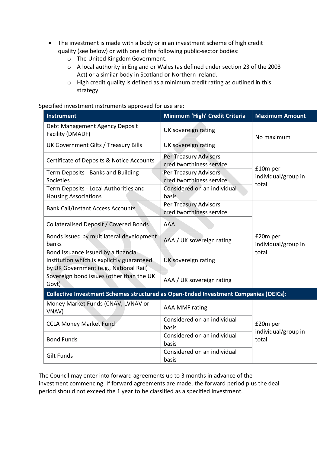- The investment is made with a body or in an investment scheme of high credit quality (see below) or with one of the following public-sector bodies:
	- o The United Kingdom Government.
	- o A local authority in England or Wales (as defined under section 23 of the 2003 Act) or a similar body in Scotland or Northern Ireland.
	- o High credit quality is defined as a minimum credit rating as outlined in this strategy.

Specified investment instruments approved for use are:

| <b>Instrument</b>                                                                                                           | Minimum 'High' Credit Criteria                    | <b>Maximum Amount</b>                    |  |
|-----------------------------------------------------------------------------------------------------------------------------|---------------------------------------------------|------------------------------------------|--|
| Debt Management Agency Deposit<br>Facility (DMADF)                                                                          | UK sovereign rating                               | No maximum                               |  |
| UK Government Gilts / Treasury Bills                                                                                        | UK sovereign rating                               |                                          |  |
| Certificate of Deposits & Notice Accounts                                                                                   | Per Treasury Advisors<br>creditworthiness service |                                          |  |
| Term Deposits - Banks and Building<br>Societies                                                                             | Per Treasury Advisors<br>creditworthiness service | £10m per<br>individual/group in          |  |
| Term Deposits - Local Authorities and<br><b>Housing Associations</b>                                                        | Considered on an individual<br>basis              | total                                    |  |
| <b>Bank Call/Instant Access Accounts</b>                                                                                    | Per Treasury Advisors<br>creditworthiness service |                                          |  |
| <b>Collateralised Deposit / Covered Bonds</b>                                                                               | <b>AAA</b>                                        | £20m per<br>individual/group in<br>total |  |
| Bonds issued by multilateral development<br>banks                                                                           | AAA / UK sovereign rating                         |                                          |  |
| Bond issuance issued by a financial<br>institution which is explicitly guaranteed<br>by UK Government (e.g., National Rail) | UK sovereign rating                               |                                          |  |
| Sovereign bond issues (other than the UK<br>Govt)                                                                           | AAA / UK sovereign rating                         |                                          |  |
| Collective Investment Schemes structured as Open-Ended Investment Companies (OEICs):                                        |                                                   |                                          |  |
| Money Market Funds (CNAV, LVNAV or<br>VNAV)                                                                                 | <b>AAA MMF rating</b>                             | £20m per<br>individual/group in<br>total |  |
| <b>CCLA Money Market Fund</b>                                                                                               | Considered on an individual<br>basis              |                                          |  |
| <b>Bond Funds</b>                                                                                                           | Considered on an individual<br>basis              |                                          |  |
| <b>Gilt Funds</b>                                                                                                           | Considered on an individual<br>basis              |                                          |  |

The Council may enter into forward agreements up to 3 months in advance of the investment commencing. If forward agreements are made, the forward period plus the deal period should not exceed the 1 year to be classified as a specified investment.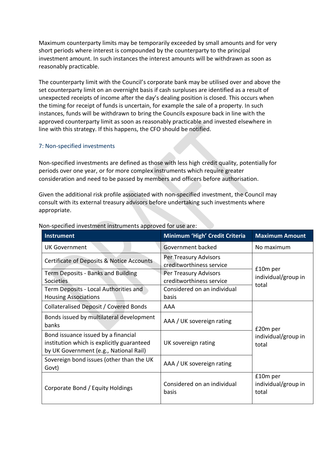Maximum counterparty limits may be temporarily exceeded by small amounts and for very short periods where interest is compounded by the counterparty to the principal investment amount. In such instances the interest amounts will be withdrawn as soon as reasonably practicable.

The counterparty limit with the Council's corporate bank may be utilised over and above the set counterparty limit on an overnight basis if cash surpluses are identified as a result of unexpected receipts of income after the day's dealing position is closed. This occurs when the timing for receipt of funds is uncertain, for example the sale of a property. In such instances, funds will be withdrawn to bring the Councils exposure back in line with the approved counterparty limit as soon as reasonably practicable and invested elsewhere in line with this strategy. If this happens, the CFO should be notified.

#### 7: Non-specified investments

Non-specified investments are defined as those with less high credit quality, potentially for periods over one year, or for more complex instruments which require greater consideration and need to be passed by members and officers before authorisation.

Given the additional risk profile associated with non-specified investment, the Council may consult with its external treasury advisors before undertaking such investments where appropriate.

| Instrument                                                                                                                  | Minimum 'High' Credit Criteria                    | <b>Maximum Amount</b>                    |  |
|-----------------------------------------------------------------------------------------------------------------------------|---------------------------------------------------|------------------------------------------|--|
| <b>UK Government</b>                                                                                                        | Government backed                                 | No maximum                               |  |
| <b>Certificate of Deposits &amp; Notice Accounts</b>                                                                        | Per Treasury Advisors<br>creditworthiness service |                                          |  |
| Term Deposits - Banks and Building<br>Societies                                                                             | Per Treasury Advisors<br>creditworthiness service | £10m per<br>individual/group in<br>total |  |
| Term Deposits - Local Authorities and<br><b>Housing Associations</b>                                                        | Considered on an individual<br>basis              |                                          |  |
| Collateralised Deposit / Covered Bonds                                                                                      | AAA                                               |                                          |  |
| Bonds issued by multilateral development<br>banks                                                                           | AAA / UK sovereign rating                         | £20m per<br>individual/group in<br>total |  |
| Bond issuance issued by a financial<br>institution which is explicitly guaranteed<br>by UK Government (e.g., National Rail) | UK sovereign rating                               |                                          |  |
| Sovereign bond issues (other than the UK<br>Govt)                                                                           | AAA / UK sovereign rating                         |                                          |  |
| Corporate Bond / Equity Holdings                                                                                            | Considered on an individual<br>basis              | £10m per<br>individual/group in<br>total |  |

#### Non-specified investment instruments approved for use are: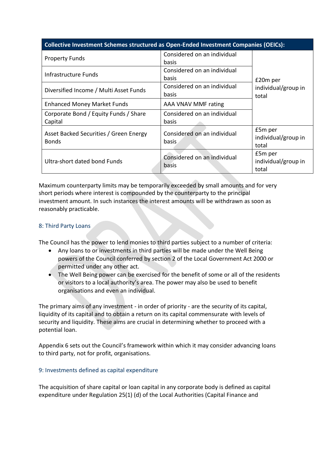#### **Collective Investment Schemes structured as Open-Ended Investment Companies (OEICs):**

| <b>Property Funds</b>                                  | Considered on an individual<br>basis  |                                         |  |
|--------------------------------------------------------|---------------------------------------|-----------------------------------------|--|
| Infrastructure Funds                                   | Considered on an individual<br>basis  | £20m per                                |  |
| Diversified Income / Multi Asset Funds                 | Considered on an individual<br>basis  | individual/group in<br>total            |  |
| <b>Enhanced Money Market Funds</b>                     | AAA VNAV MMF rating                   |                                         |  |
| Corporate Bond / Equity Funds / Share<br>Capital       | Considered on an individual<br>basis  |                                         |  |
| Asset Backed Securities / Green Energy<br><b>Bonds</b> | Considered on an individual<br>basis. | £5m per<br>individual/group in<br>total |  |
| Ultra-short dated bond Funds                           | Considered on an individual<br>basis  | £5m per<br>individual/group in<br>total |  |

Maximum counterparty limits may be temporarily exceeded by small amounts and for very short periods where interest is compounded by the counterparty to the principal investment amount. In such instances the interest amounts will be withdrawn as soon as reasonably practicable.

#### 8: Third Party Loans

The Council has the power to lend monies to third parties subject to a number of criteria:

- Any loans to or investments in third parties will be made under the Well Being powers of the Council conferred by section 2 of the Local Government Act 2000 or permitted under any other act.
- The Well Being power can be exercised for the benefit of some or all of the residents or visitors to a local authority's area. The power may also be used to benefit organisations and even an individual.

The primary aims of any investment - in order of priority - are the security of its capital, liquidity of its capital and to obtain a return on its capital commensurate with levels of security and liquidity. These aims are crucial in determining whether to proceed with a potential loan.

Appendix 6 sets out the Council's framework within which it may consider advancing loans to third party, not for profit, organisations.

#### 9: Investments defined as capital expenditure

The acquisition of share capital or loan capital in any corporate body is defined as capital expenditure under Regulation 25(1) (d) of the Local Authorities (Capital Finance and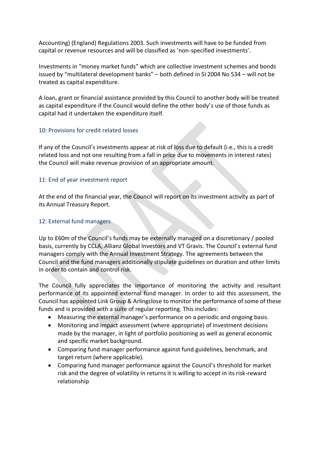Accounting) (England) Regulations 2003. Such investments will have to be funded from capital or revenue resources and will be classified as 'non-specified investments'.

Investments in "money market funds" which are collective investment schemes and bonds issued by "multilateral development banks" – both defined in SI 2004 No 534 – will not be treated as capital expenditure.

A loan, grant or financial assistance provided by this Council to another body will be treated as capital expenditure if the Council would define the other body's use of those funds as capital had it undertaken the expenditure itself.

#### 10: Provisions for credit related losses

If any of the Council's investments appear at risk of loss due to default (i.e., this is a credit related loss and not one resulting from a fall in price due to movements in interest rates) the Council will make revenue provision of an appropriate amount.

#### 11: End of year investment report

At the end of the financial year, the Council will report on its investment activity as part of its Annual Treasury Report.

#### 12: External fund managers

Up to £60m of the Council's funds may be externally managed on a discretionary / pooled basis, currently by CCLA, Allianz Global Investors and VT Gravis. The Council's external fund managers comply with the Annual Investment Strategy. The agreements between the Council and the fund managers additionally stipulate guidelines on duration and other limits in order to contain and control risk.

The Council fully appreciates the importance of monitoring the activity and resultant performance of its appointed external fund manager. In order to aid this assessment, the Council has appointed Link Group & Arlingclose to monitor the performance of some of these funds and is provided with a suite of regular reporting. This includes:

- Measuring the external manager's performance on a periodic and ongoing basis.
- Monitoring and impact assessment (where appropriate) of investment decisions made by the manager, in light of portfolio positioning as well as general economic and specific market background.
- Comparing fund manager performance against fund guidelines, benchmark, and target return (where applicable).
- Comparing fund manager performance against the Council's threshold for market risk and the degree of volatility in returns it is willing to accept in its risk-reward relationship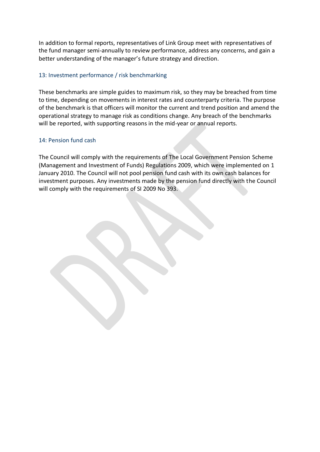In addition to formal reports, representatives of Link Group meet with representatives of the fund manager semi-annually to review performance, address any concerns, and gain a better understanding of the manager's future strategy and direction.

#### 13: Investment performance / risk benchmarking

These benchmarks are simple guides to maximum risk, so they may be breached from time to time, depending on movements in interest rates and counterparty criteria. The purpose of the benchmark is that officers will monitor the current and trend position and amend the operational strategy to manage risk as conditions change. Any breach of the benchmarks will be reported, with supporting reasons in the mid-year or annual reports.

#### 14: Pension fund cash

The Council will comply with the requirements of The Local Government Pension Scheme (Management and Investment of Funds) Regulations 2009, which were implemented on 1 January 2010. The Council will not pool pension fund cash with its own cash balances for investment purposes. Any investments made by the pension fund directly with the Council will comply with the requirements of SI 2009 No 393.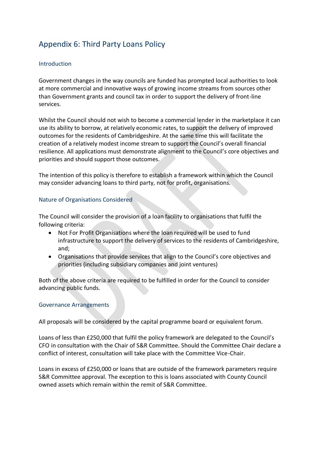# Appendix 6: Third Party Loans Policy

#### **Introduction**

Government changes in the way councils are funded has prompted local authorities to look at more commercial and innovative ways of growing income streams from sources other than Government grants and council tax in order to support the delivery of front-line services.

Whilst the Council should not wish to become a commercial lender in the marketplace it can use its ability to borrow, at relatively economic rates, to support the delivery of improved outcomes for the residents of Cambridgeshire. At the same time this will facilitate the creation of a relatively modest income stream to support the Council's overall financial resilience. All applications must demonstrate alignment to the Council's core objectives and priorities and should support those outcomes.

The intention of this policy is therefore to establish a framework within which the Council may consider advancing loans to third party, not for profit, organisations.

#### Nature of Organisations Considered

The Council will consider the provision of a loan facility to organisations that fulfil the following criteria:

- Not For Profit Organisations where the loan required will be used to fund infrastructure to support the delivery of services to the residents of Cambridgeshire, and;
- Organisations that provide services that align to the Council's core objectives and priorities (including subsidiary companies and joint ventures)

Both of the above criteria are required to be fulfilled in order for the Council to consider advancing public funds.

#### Governance Arrangements

All proposals will be considered by the capital programme board or equivalent forum.

Loans of less than £250,000 that fulfil the policy framework are delegated to the Council's CFO in consultation with the Chair of S&R Committee. Should the Committee Chair declare a conflict of interest, consultation will take place with the Committee Vice-Chair.

Loans in excess of £250,000 or loans that are outside of the framework parameters require S&R Committee approval. The exception to this is loans associated with County Council owned assets which remain within the remit of S&R Committee.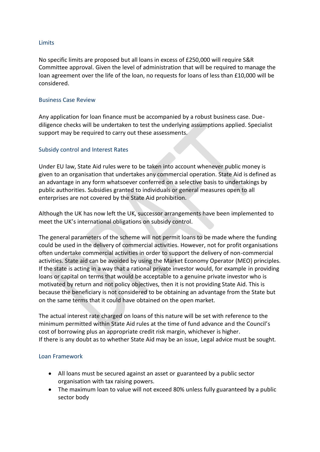#### **Limits**

No specific limits are proposed but all loans in excess of £250,000 will require S&R Committee approval. Given the level of administration that will be required to manage the loan agreement over the life of the loan, no requests for loans of less than £10,000 will be considered.

#### Business Case Review

Any application for loan finance must be accompanied by a robust business case. Duediligence checks will be undertaken to test the underlying assumptions applied. Specialist support may be required to carry out these assessments.

#### Subsidy control and Interest Rates

Under EU law, State Aid rules were to be taken into account whenever public money is given to an organisation that undertakes any commercial operation. State Aid is defined as an advantage in any form whatsoever conferred on a selective basis to undertakings by public authorities. Subsidies granted to individuals or general measures open to all enterprises are not covered by the State Aid prohibition.

Although the UK has now left the UK, successor arrangements have been implemented to meet the UK's international obligations on subsidy control.

The general parameters of the scheme will not permit loans to be made where the funding could be used in the delivery of commercial activities. However, not for profit organisations often undertake commercial activities in order to support the delivery of non-commercial activities. State aid can be avoided by using the Market Economy Operator (MEO) principles. If the state is acting in a way that a rational private investor would, for example in providing loans or capital on terms that would be acceptable to a genuine private investor who is motivated by return and not policy objectives, then it is not providing State Aid. This is because the beneficiary is not considered to be obtaining an advantage from the State but on the same terms that it could have obtained on the open market.

The actual interest rate charged on loans of this nature will be set with reference to the minimum permitted within State Aid rules at the time of fund advance and the Council's cost of borrowing plus an appropriate credit risk margin, whichever is higher. If there is any doubt as to whether State Aid may be an issue, Legal advice must be sought.

#### Loan Framework

- All loans must be secured against an asset or guaranteed by a public sector organisation with tax raising powers.
- The maximum loan to value will not exceed 80% unless fully guaranteed by a public sector body